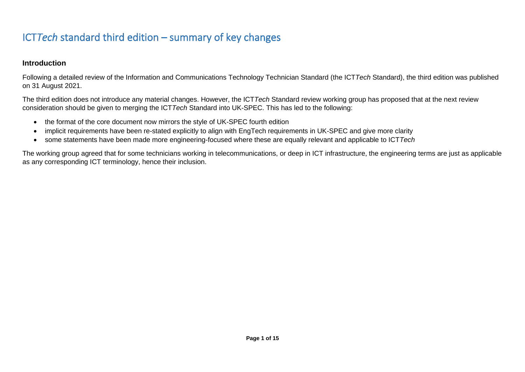# ICT*Tech* standard third edition – summary of key changes

### **Introduction**

Following a detailed review of the Information and Communications Technology Technician Standard (the ICT*Tech* Standard), the third edition was published on 31 August 2021.

The third edition does not introduce any material changes. However, the ICT*Tech* Standard review working group has proposed that at the next review consideration should be given to merging the ICT*Tech* Standard into UK-SPEC. This has led to the following:

- the format of the core document now mirrors the style of UK-SPEC fourth edition
- implicit requirements have been re-stated explicitly to align with EngTech requirements in UK-SPEC and give more clarity
- some statements have been made more engineering-focused where these are equally relevant and applicable to ICT*Tech*

The working group agreed that for some technicians working in telecommunications, or deep in ICT infrastructure, the engineering terms are just as applicable as any corresponding ICT terminology, hence their inclusion.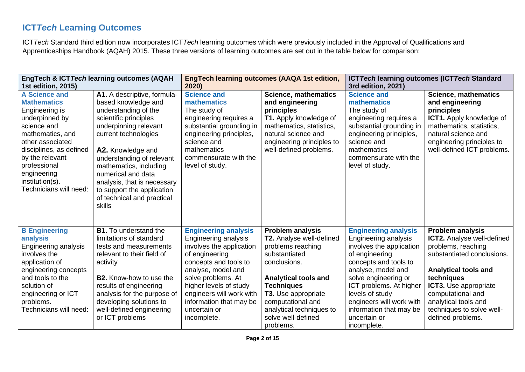## **ICT***Tech* **Learning Outcomes**

ICT*Tech* Standard third edition now incorporates ICT*Tech* learning outcomes which were previously included in the Approval of Qualifications and Apprenticeships Handbook (AQAH) 2015. These three versions of learning outcomes are set out in the table below for comparison:

| 1st edition, 2015)                                                                                                                                                                                                                                              | EngTech & ICTTech learning outcomes (AQAH                                                                                                                                                                                                                                                                                                                   | 2020)                                                                                                                                                                                                                                                                                         | <b>EngTech learning outcomes (AAQA 1st edition,</b>                                                                                                                                                                                                                      | ICT Tech learning outcomes (ICT Tech Standard<br>3rd edition, 2021)                                                                                                                                                                                                                                          |                                                                                                                                                                                                                                                                                       |
|-----------------------------------------------------------------------------------------------------------------------------------------------------------------------------------------------------------------------------------------------------------------|-------------------------------------------------------------------------------------------------------------------------------------------------------------------------------------------------------------------------------------------------------------------------------------------------------------------------------------------------------------|-----------------------------------------------------------------------------------------------------------------------------------------------------------------------------------------------------------------------------------------------------------------------------------------------|--------------------------------------------------------------------------------------------------------------------------------------------------------------------------------------------------------------------------------------------------------------------------|--------------------------------------------------------------------------------------------------------------------------------------------------------------------------------------------------------------------------------------------------------------------------------------------------------------|---------------------------------------------------------------------------------------------------------------------------------------------------------------------------------------------------------------------------------------------------------------------------------------|
| <b>A Science and</b><br><b>Mathematics</b><br>Engineering is<br>underpinned by<br>science and<br>mathematics, and<br>other associated<br>disciplines, as defined<br>by the relevant<br>professional<br>engineering<br>institution(s).<br>Technicians will need: | A1. A descriptive, formula-<br>based knowledge and<br>understanding of the<br>scientific principles<br>underpinning relevant<br>current technologies<br>A2. Knowledge and<br>understanding of relevant<br>mathematics, including<br>numerical and data<br>analysis, that is necessary<br>to support the application<br>of technical and practical<br>skills | <b>Science and</b><br>mathematics<br>The study of<br>engineering requires a<br>substantial grounding in<br>engineering principles,<br>science and<br>mathematics<br>commensurate with the<br>level of study.                                                                                  | <b>Science, mathematics</b><br>and engineering<br>principles<br>T1. Apply knowledge of<br>mathematics, statistics,<br>natural science and<br>engineering principles to<br>well-defined problems.                                                                         | <b>Science and</b><br>mathematics<br>The study of<br>engineering requires a<br>substantial grounding in<br>engineering principles,<br>science and<br>mathematics<br>commensurate with the<br>level of study.                                                                                                 | <b>Science, mathematics</b><br>and engineering<br>principles<br><b>ICT1.</b> Apply knowledge of<br>mathematics, statistics,<br>natural science and<br>engineering principles to<br>well-defined ICT problems.                                                                         |
| <b>B</b> Engineering<br>analysis<br>Engineering analysis<br>involves the<br>application of<br>engineering concepts<br>and tools to the<br>solution of<br>engineering or ICT<br>problems.<br>Technicians will need:                                              | <b>B1.</b> To understand the<br>limitations of standard<br>tests and measurements<br>relevant to their field of<br>activity<br><b>B2.</b> Know-how to use the<br>results of engineering<br>analysis for the purpose of<br>developing solutions to<br>well-defined engineering<br>or ICT problems                                                            | <b>Engineering analysis</b><br><b>Engineering analysis</b><br>involves the application<br>of engineering<br>concepts and tools to<br>analyse, model and<br>solve problems. At<br>higher levels of study<br>engineers will work with<br>information that may be<br>uncertain or<br>incomplete. | <b>Problem analysis</b><br>T2. Analyse well-defined<br>problems reaching<br>substantiated<br>conclusions.<br><b>Analytical tools and</b><br><b>Techniques</b><br>T3. Use appropriate<br>computational and<br>analytical techniques to<br>solve well-defined<br>problems. | <b>Engineering analysis</b><br>Engineering analysis<br>involves the application<br>of engineering<br>concepts and tools to<br>analyse, model and<br>solve engineering or<br>ICT problems. At higher<br>levels of study<br>engineers will work with<br>information that may be<br>uncertain or<br>incomplete. | <b>Problem analysis</b><br>ICT2. Analyse well-defined<br>problems, reaching<br>substantiated conclusions.<br><b>Analytical tools and</b><br>techniques<br><b>ICT3.</b> Use appropriate<br>computational and<br>analytical tools and<br>techniques to solve well-<br>defined problems. |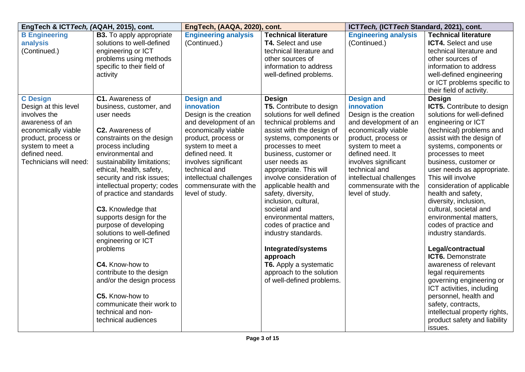| EngTech & ICTTech, (AQAH, 2015), cont.                                                                                                                                                  |                                                                                                                                                                                                                                                                                                                                                                                                                                                                                                                                                                                                                             | EngTech, (AAQA, 2020), cont.                                                                                                                                                                                                                                                             |                                                                                                                                                                                                                                                                                                                                                                                                                                                                                                                                                                                   | ICT Tech, (ICT Tech Standard, 2021), cont.                                                                                                                                                                                                                                               |                                                                                                                                                                                                                                                                                                                                                                                                                                                                                                                                                                                                                                                                                                                                                    |
|-----------------------------------------------------------------------------------------------------------------------------------------------------------------------------------------|-----------------------------------------------------------------------------------------------------------------------------------------------------------------------------------------------------------------------------------------------------------------------------------------------------------------------------------------------------------------------------------------------------------------------------------------------------------------------------------------------------------------------------------------------------------------------------------------------------------------------------|------------------------------------------------------------------------------------------------------------------------------------------------------------------------------------------------------------------------------------------------------------------------------------------|-----------------------------------------------------------------------------------------------------------------------------------------------------------------------------------------------------------------------------------------------------------------------------------------------------------------------------------------------------------------------------------------------------------------------------------------------------------------------------------------------------------------------------------------------------------------------------------|------------------------------------------------------------------------------------------------------------------------------------------------------------------------------------------------------------------------------------------------------------------------------------------|----------------------------------------------------------------------------------------------------------------------------------------------------------------------------------------------------------------------------------------------------------------------------------------------------------------------------------------------------------------------------------------------------------------------------------------------------------------------------------------------------------------------------------------------------------------------------------------------------------------------------------------------------------------------------------------------------------------------------------------------------|
| <b>B Engineering</b><br>analysis<br>(Continued.)                                                                                                                                        | <b>B3.</b> To apply appropriate<br>solutions to well-defined<br>engineering or ICT<br>problems using methods<br>specific to their field of<br>activity                                                                                                                                                                                                                                                                                                                                                                                                                                                                      | <b>Engineering analysis</b><br>(Continued.)                                                                                                                                                                                                                                              | <b>Technical literature</b><br>T4. Select and use<br>technical literature and<br>other sources of<br>information to address<br>well-defined problems.                                                                                                                                                                                                                                                                                                                                                                                                                             | <b>Engineering analysis</b><br>(Continued.)                                                                                                                                                                                                                                              | <b>Technical literature</b><br>ICT4. Select and use<br>technical literature and<br>other sources of<br>information to address<br>well-defined engineering<br>or ICT problems specific to<br>their field of activity.                                                                                                                                                                                                                                                                                                                                                                                                                                                                                                                               |
| <b>C</b> Design<br>Design at this level<br>involves the<br>awareness of an<br>economically viable<br>product, process or<br>system to meet a<br>defined need.<br>Technicians will need: | C1. Awareness of<br>business, customer, and<br>user needs<br>C2. Awareness of<br>constraints on the design<br>process including<br>environmental and<br>sustainability limitations;<br>ethical, health, safety,<br>security and risk issues;<br>intellectual property; codes<br>of practice and standards<br>C3. Knowledge that<br>supports design for the<br>purpose of developing<br>solutions to well-defined<br>engineering or ICT<br>problems<br>C4. Know-how to<br>contribute to the design<br>and/or the design process<br>C5. Know-how to<br>communicate their work to<br>technical and non-<br>technical audiences | <b>Design and</b><br>innovation<br>Design is the creation<br>and development of an<br>economically viable<br>product, process or<br>system to meet a<br>defined need. It<br>involves significant<br>technical and<br>intellectual challenges<br>commensurate with the<br>level of study. | <b>Design</b><br><b>T5.</b> Contribute to design<br>solutions for well defined<br>technical problems and<br>assist with the design of<br>systems, components or<br>processes to meet<br>business, customer or<br>user needs as<br>appropriate. This will<br>involve consideration of<br>applicable health and<br>safety, diversity,<br>inclusion, cultural,<br>societal and<br>environmental matters,<br>codes of practice and<br>industry standards.<br>Integrated/systems<br>approach<br><b>T6.</b> Apply a systematic<br>approach to the solution<br>of well-defined problems. | <b>Design and</b><br>innovation<br>Design is the creation<br>and development of an<br>economically viable<br>product, process or<br>system to meet a<br>defined need. It<br>involves significant<br>technical and<br>intellectual challenges<br>commensurate with the<br>level of study. | <b>Design</b><br>ICT5. Contribute to design<br>solutions for well-defined<br>engineering or ICT<br>(technical) problems and<br>assist with the design of<br>systems, components or<br>processes to meet<br>business, customer or<br>user needs as appropriate.<br>This will involve<br>consideration of applicable<br>health and safety,<br>diversity, inclusion,<br>cultural, societal and<br>environmental matters,<br>codes of practice and<br>industry standards.<br>Legal/contractual<br>ICT6. Demonstrate<br>awareness of relevant<br>legal requirements<br>governing engineering or<br>ICT activities, including<br>personnel, health and<br>safety, contracts,<br>intellectual property rights,<br>product safety and liability<br>issues. |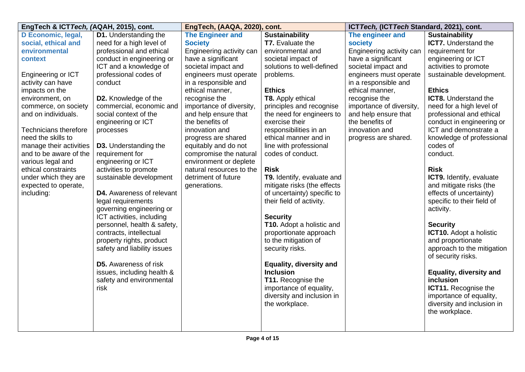| EngTech & ICTTech, (AQAH, 2015), cont.   |                                             | EngTech, (AAQA, 2020), cont.                       |                                | ICT Tech, (ICT Tech Standard, 2021), cont. |                                |
|------------------------------------------|---------------------------------------------|----------------------------------------------------|--------------------------------|--------------------------------------------|--------------------------------|
| D Economic, legal,                       | <b>D1.</b> Understanding the                | <b>The Engineer and</b>                            | <b>Sustainability</b>          | The engineer and                           | <b>Sustainability</b>          |
| social, ethical and                      | need for a high level of                    | <b>Society</b>                                     | <b>T7.</b> Evaluate the        | <b>society</b>                             | <b>ICT7.</b> Understand the    |
| environmental                            | professional and ethical                    | Engineering activity can                           | environmental and              | Engineering activity can                   | requirement for                |
| context                                  | conduct in engineering or                   | have a significant                                 | societal impact of             | have a significant                         | engineering or ICT             |
|                                          | ICT and a knowledge of                      | societal impact and                                | solutions to well-defined      | societal impact and                        | activities to promote          |
| Engineering or ICT                       | professional codes of                       | engineers must operate                             | problems.                      | engineers must operate                     | sustainable development.       |
| activity can have                        | conduct                                     | in a responsible and                               |                                | in a responsible and                       |                                |
| impacts on the                           |                                             | ethical manner,                                    | <b>Ethics</b>                  | ethical manner,                            | <b>Ethics</b>                  |
| environment, on                          | D2. Knowledge of the                        | recognise the                                      | T8. Apply ethical              | recognise the                              | <b>ICT8.</b> Understand the    |
| commerce, on society                     | commercial, economic and                    | importance of diversity,                           | principles and recognise       | importance of diversity,                   | need for a high level of       |
| and on individuals.                      | social context of the                       | and help ensure that                               | the need for engineers to      | and help ensure that                       | professional and ethical       |
|                                          | engineering or ICT                          | the benefits of                                    | exercise their                 | the benefits of                            | conduct in engineering or      |
| <b>Technicians therefore</b>             | processes                                   | innovation and                                     | responsibilities in an         | innovation and                             | ICT and demonstrate a          |
| need the skills to                       |                                             | progress are shared                                | ethical manner and in          | progress are shared.                       | knowledge of professional      |
| manage their activities                  | <b>D3.</b> Understanding the                | equitably and do not                               | line with professional         |                                            | codes of                       |
| and to be aware of the                   | requirement for                             | compromise the natural                             | codes of conduct.              |                                            | conduct.                       |
| various legal and<br>ethical constraints | engineering or ICT<br>activities to promote | environment or deplete<br>natural resources to the | <b>Risk</b>                    |                                            | <b>Risk</b>                    |
| under which they are                     | sustainable development                     | detriment of future                                | T9. Identify, evaluate and     |                                            | ICT9. Identify, evaluate       |
| expected to operate,                     |                                             | generations.                                       | mitigate risks (the effects    |                                            | and mitigate risks (the        |
| including:                               | <b>D4.</b> Awareness of relevant            |                                                    | of uncertainty) specific to    |                                            | effects of uncertainty)        |
|                                          | legal requirements                          |                                                    | their field of activity.       |                                            | specific to their field of     |
|                                          | governing engineering or                    |                                                    |                                |                                            | activity.                      |
|                                          | ICT activities, including                   |                                                    | <b>Security</b>                |                                            |                                |
|                                          | personnel, health & safety,                 |                                                    | T10. Adopt a holistic and      |                                            | <b>Security</b>                |
|                                          | contracts, intellectual                     |                                                    | proportionate approach         |                                            | ICT10. Adopt a holistic        |
|                                          | property rights, product                    |                                                    | to the mitigation of           |                                            | and proportionate              |
|                                          | safety and liability issues                 |                                                    | security risks.                |                                            | approach to the mitigation     |
|                                          |                                             |                                                    |                                |                                            | of security risks.             |
|                                          | <b>D5.</b> Awareness of risk                |                                                    | <b>Equality, diversity and</b> |                                            |                                |
|                                          | issues, including health &                  |                                                    | <b>Inclusion</b>               |                                            | <b>Equality, diversity and</b> |
|                                          | safety and environmental                    |                                                    | T11. Recognise the             |                                            | inclusion                      |
|                                          | risk                                        |                                                    | importance of equality,        |                                            | <b>ICT11.</b> Recognise the    |
|                                          |                                             |                                                    | diversity and inclusion in     |                                            | importance of equality,        |
|                                          |                                             |                                                    | the workplace.                 |                                            | diversity and inclusion in     |
|                                          |                                             |                                                    |                                |                                            | the workplace.                 |
|                                          |                                             |                                                    |                                |                                            |                                |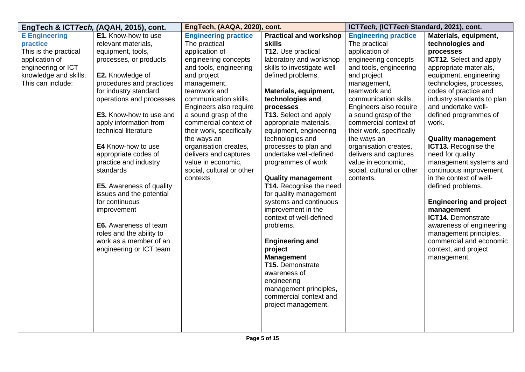|                                                                                                                                                 | EngTech & ICTTech, (AQAH, 2015), cont.                                                                                                                                                                                                                                                                                                                                                                                                                                                                                                                                    | EngTech, (AAQA, 2020), cont.                                                                                                                                                                                                                                                                                                                                                                                                   |                                                                                                                                                                                                                                                                                                                                                                                                                                                                                                                                                                                                                                                                                                                                                           | ICT Tech, (ICT Tech Standard, 2021), cont.                                                                                                                                                                                                                                                                                                                                                                                      |                                                                                                                                                                                                                                                                                                                                                                                                                                                                                                                                                                                                                                                                     |
|-------------------------------------------------------------------------------------------------------------------------------------------------|---------------------------------------------------------------------------------------------------------------------------------------------------------------------------------------------------------------------------------------------------------------------------------------------------------------------------------------------------------------------------------------------------------------------------------------------------------------------------------------------------------------------------------------------------------------------------|--------------------------------------------------------------------------------------------------------------------------------------------------------------------------------------------------------------------------------------------------------------------------------------------------------------------------------------------------------------------------------------------------------------------------------|-----------------------------------------------------------------------------------------------------------------------------------------------------------------------------------------------------------------------------------------------------------------------------------------------------------------------------------------------------------------------------------------------------------------------------------------------------------------------------------------------------------------------------------------------------------------------------------------------------------------------------------------------------------------------------------------------------------------------------------------------------------|---------------------------------------------------------------------------------------------------------------------------------------------------------------------------------------------------------------------------------------------------------------------------------------------------------------------------------------------------------------------------------------------------------------------------------|---------------------------------------------------------------------------------------------------------------------------------------------------------------------------------------------------------------------------------------------------------------------------------------------------------------------------------------------------------------------------------------------------------------------------------------------------------------------------------------------------------------------------------------------------------------------------------------------------------------------------------------------------------------------|
| <b>E</b> Engineering<br>practice<br>This is the practical<br>application of<br>engineering or ICT<br>knowledge and skills.<br>This can include: | E1. Know-how to use<br>relevant materials,<br>equipment, tools,<br>processes, or products<br>E2. Knowledge of<br>procedures and practices<br>for industry standard<br>operations and processes<br>E3. Know-how to use and<br>apply information from<br>technical literature<br>E4 Know-how to use<br>appropriate codes of<br>practice and industry<br>standards<br><b>E5.</b> Awareness of quality<br>issues and the potential<br>for continuous<br>improvement<br>E6. Awareness of team<br>roles and the ability to<br>work as a member of an<br>engineering or ICT team | <b>Engineering practice</b><br>The practical<br>application of<br>engineering concepts<br>and tools, engineering<br>and project<br>management,<br>teamwork and<br>communication skills.<br>Engineers also require<br>a sound grasp of the<br>commercial context of<br>their work, specifically<br>the ways an<br>organisation creates,<br>delivers and captures<br>value in economic,<br>social, cultural or other<br>contexts | <b>Practical and workshop</b><br><b>skills</b><br>T12. Use practical<br>laboratory and workshop<br>skills to investigate well-<br>defined problems.<br>Materials, equipment,<br>technologies and<br>processes<br>T13. Select and apply<br>appropriate materials,<br>equipment, engineering<br>technologies and<br>processes to plan and<br>undertake well-defined<br>programmes of work<br><b>Quality management</b><br>T14. Recognise the need<br>for quality management<br>systems and continuous<br>improvement in the<br>context of well-defined<br>problems.<br><b>Engineering and</b><br>project<br><b>Management</b><br>T15. Demonstrate<br>awareness of<br>engineering<br>management principles,<br>commercial context and<br>project management. | <b>Engineering practice</b><br>The practical<br>application of<br>engineering concepts<br>and tools, engineering<br>and project<br>management,<br>teamwork and<br>communication skills.<br>Engineers also require<br>a sound grasp of the<br>commercial context of<br>their work, specifically<br>the ways an<br>organisation creates,<br>delivers and captures<br>value in economic,<br>social, cultural or other<br>contexts. | Materials, equipment,<br>technologies and<br>processes<br><b>ICT12.</b> Select and apply<br>appropriate materials,<br>equipment, engineering<br>technologies, processes,<br>codes of practice and<br>industry standards to plan<br>and undertake well-<br>defined programmes of<br>work.<br><b>Quality management</b><br>ICT13. Recognise the<br>need for quality<br>management systems and<br>continuous improvement<br>in the context of well-<br>defined problems.<br><b>Engineering and project</b><br>management<br>ICT14. Demonstrate<br>awareness of engineering<br>management principles,<br>commercial and economic<br>context, and project<br>management. |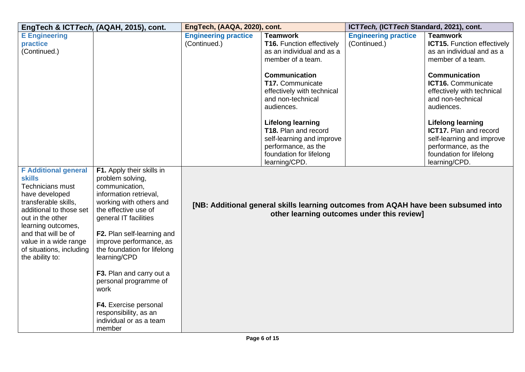|                                                                                                                                                                                                                                                                                       | EngTech & ICTTech, (AQAH, 2015), cont.                                                                                                                                                                                                                                                                                                                              | EngTech, (AAQA, 2020), cont.                |                                                                                                                                                  | ICT Tech, (ICT Tech Standard, 2021), cont.  |                                                                                                                                                           |
|---------------------------------------------------------------------------------------------------------------------------------------------------------------------------------------------------------------------------------------------------------------------------------------|---------------------------------------------------------------------------------------------------------------------------------------------------------------------------------------------------------------------------------------------------------------------------------------------------------------------------------------------------------------------|---------------------------------------------|--------------------------------------------------------------------------------------------------------------------------------------------------|---------------------------------------------|-----------------------------------------------------------------------------------------------------------------------------------------------------------|
| <b>E</b> Engineering<br>practice<br>(Continued.)                                                                                                                                                                                                                                      |                                                                                                                                                                                                                                                                                                                                                                     | <b>Engineering practice</b><br>(Continued.) | <b>Teamwork</b><br><b>T16.</b> Function effectively<br>as an individual and as a<br>member of a team.                                            | <b>Engineering practice</b><br>(Continued.) | <b>Teamwork</b><br><b>ICT15.</b> Function effectively<br>as an individual and as a<br>member of a team.                                                   |
|                                                                                                                                                                                                                                                                                       |                                                                                                                                                                                                                                                                                                                                                                     |                                             | <b>Communication</b><br>T17. Communicate<br>effectively with technical<br>and non-technical<br>audiences.                                        |                                             | <b>Communication</b><br>ICT16. Communicate<br>effectively with technical<br>and non-technical<br>audiences.                                               |
|                                                                                                                                                                                                                                                                                       |                                                                                                                                                                                                                                                                                                                                                                     |                                             | <b>Lifelong learning</b><br>T18. Plan and record<br>self-learning and improve<br>performance, as the<br>foundation for lifelong<br>learning/CPD. |                                             | <b>Lifelong learning</b><br><b>ICT17.</b> Plan and record<br>self-learning and improve<br>performance, as the<br>foundation for lifelong<br>learning/CPD. |
| <b>F</b> Additional general<br><b>skills</b><br><b>Technicians must</b><br>have developed<br>transferable skills,<br>additional to those set<br>out in the other<br>learning outcomes,<br>and that will be of<br>value in a wide range<br>of situations, including<br>the ability to: | F1. Apply their skills in<br>problem solving,<br>communication,<br>information retrieval,<br>working with others and<br>the effective use of<br>general IT facilities<br>F2. Plan self-learning and<br>improve performance, as<br>the foundation for lifelong<br>learning/CPD<br>F3. Plan and carry out a<br>personal programme of<br>work<br>F4. Exercise personal |                                             | [NB: Additional general skills learning outcomes from AQAH have been subsumed into                                                               | other learning outcomes under this review]  |                                                                                                                                                           |
|                                                                                                                                                                                                                                                                                       | responsibility, as an<br>individual or as a team<br>member                                                                                                                                                                                                                                                                                                          |                                             |                                                                                                                                                  |                                             |                                                                                                                                                           |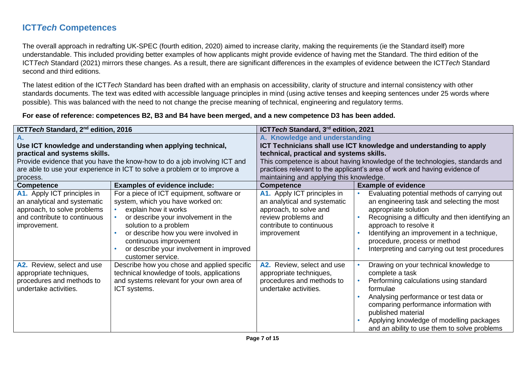### **ICT***Tech* **Competences**

The overall approach in redrafting UK-SPEC (fourth edition, 2020) aimed to increase clarity, making the requirements (ie the Standard itself) more understandable. This included providing better examples of how applicants might provide evidence of having met the Standard. The third edition of the ICT*Tech* Standard (2021) mirrors these changes. As a result, there are significant differences in the examples of evidence between the ICT*Tech* Standard second and third editions.

The latest edition of the ICT*Tech* Standard has been drafted with an emphasis on accessibility, clarity of structure and internal consistency with other standards documents. The text was edited with accessible language principles in mind (using active tenses and keeping sentences under 25 words where possible). This was balanced with the need to not change the precise meaning of technical, engineering and regulatory terms.

#### **For ease of reference: competences B2, B3 and B4 have been merged, and a new competence D3 has been added.**

| ICT Tech Standard, 2 <sup>nd</sup> edition, 2016                                                                                           |                                                                                                                                                                                                                                                                                                           | ICT Tech Standard, 3 <sup>rd</sup> edition, 2021                                                                                                                                                                                                                                                                                                          |                                                                                                                                                                                                                                                                                                                                 |  |
|--------------------------------------------------------------------------------------------------------------------------------------------|-----------------------------------------------------------------------------------------------------------------------------------------------------------------------------------------------------------------------------------------------------------------------------------------------------------|-----------------------------------------------------------------------------------------------------------------------------------------------------------------------------------------------------------------------------------------------------------------------------------------------------------------------------------------------------------|---------------------------------------------------------------------------------------------------------------------------------------------------------------------------------------------------------------------------------------------------------------------------------------------------------------------------------|--|
| practical and systems skills.<br>process.                                                                                                  | Use ICT knowledge and understanding when applying technical,<br>Provide evidence that you have the know-how to do a job involving ICT and<br>are able to use your experience in ICT to solve a problem or to improve a                                                                                    | A. Knowledge and understanding<br>ICT Technicians shall use ICT knowledge and understanding to apply<br>technical, practical and systems skills.<br>This competence is about having knowledge of the technologies, standards and<br>practices relevant to the applicant's area of work and having evidence of<br>maintaining and applying this knowledge. |                                                                                                                                                                                                                                                                                                                                 |  |
| <b>Competence</b>                                                                                                                          | <b>Examples of evidence include:</b>                                                                                                                                                                                                                                                                      | <b>Competence</b>                                                                                                                                                                                                                                                                                                                                         | <b>Example of evidence</b>                                                                                                                                                                                                                                                                                                      |  |
| A1. Apply ICT principles in<br>an analytical and systematic<br>approach, to solve problems<br>and contribute to continuous<br>improvement. | For a piece of ICT equipment, software or<br>system, which you have worked on:<br>explain how it works<br>or describe your involvement in the<br>solution to a problem<br>or describe how you were involved in<br>continuous improvement<br>or describe your involvement in improved<br>customer service. | A1. Apply ICT principles in<br>an analytical and systematic<br>approach, to solve and<br>review problems and<br>contribute to continuous<br>improvement                                                                                                                                                                                                   | Evaluating potential methods of carrying out<br>an engineering task and selecting the most<br>appropriate solution<br>Recognising a difficulty and then identifying an<br>approach to resolve it<br>Identifying an improvement in a technique,<br>procedure, process or method<br>Interpreting and carrying out test procedures |  |
| A2. Review, select and use<br>appropriate techniques,<br>procedures and methods to<br>undertake activities.                                | Describe how you chose and applied specific<br>technical knowledge of tools, applications<br>and systems relevant for your own area of<br>ICT systems.                                                                                                                                                    | A2. Review, select and use<br>appropriate techniques,<br>procedures and methods to<br>undertake activities.                                                                                                                                                                                                                                               | Drawing on your technical knowledge to<br>complete a task<br>Performing calculations using standard<br>formulae<br>Analysing performance or test data or<br>comparing performance information with<br>published material<br>Applying knowledge of modelling packages<br>and an ability to use them to solve problems            |  |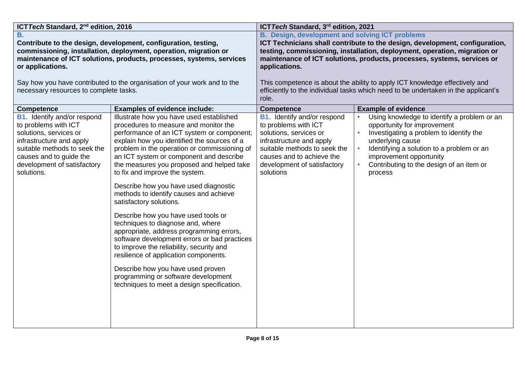| ICT Tech Standard, 2 <sup>nd</sup> edition, 2016 |                                                                          | ICT Tech Standard, 3rd edition, 2021                                        |                                                                                    |  |
|--------------------------------------------------|--------------------------------------------------------------------------|-----------------------------------------------------------------------------|------------------------------------------------------------------------------------|--|
| <b>B.</b>                                        |                                                                          | <b>B. Design, development and solving ICT problems</b>                      |                                                                                    |  |
|                                                  | Contribute to the design, development, configuration, testing,           | ICT Technicians shall contribute to the design, development, configuration, |                                                                                    |  |
|                                                  | commissioning, installation, deployment, operation, migration or         |                                                                             | testing, commissioning, installation, deployment, operation, migration or          |  |
|                                                  | maintenance of ICT solutions, products, processes, systems, services     |                                                                             | maintenance of ICT solutions, products, processes, systems, services or            |  |
| or applications.                                 |                                                                          | applications.                                                               |                                                                                    |  |
|                                                  |                                                                          |                                                                             |                                                                                    |  |
|                                                  | Say how you have contributed to the organisation of your work and to the |                                                                             | This competence is about the ability to apply ICT knowledge effectively and        |  |
| necessary resources to complete tasks.           |                                                                          |                                                                             | efficiently to the individual tasks which need to be undertaken in the applicant's |  |
|                                                  |                                                                          | role.                                                                       |                                                                                    |  |
| <b>Competence</b>                                | <b>Examples of evidence include:</b>                                     | <b>Competence</b>                                                           | <b>Example of evidence</b>                                                         |  |
| <b>B1.</b> Identify and/or respond               | Illustrate how you have used established                                 | <b>B1.</b> Identify and/or respond                                          | Using knowledge to identify a problem or an                                        |  |
| to problems with ICT                             | procedures to measure and monitor the                                    | to problems with ICT                                                        | opportunity for improvement                                                        |  |
| solutions, services or                           | performance of an ICT system or component;                               | solutions, services or                                                      | Investigating a problem to identify the                                            |  |
| infrastructure and apply                         | explain how you identified the sources of a                              | infrastructure and apply                                                    | underlying cause                                                                   |  |
| suitable methods to seek the                     | problem in the operation or commissioning of                             | suitable methods to seek the                                                | Identifying a solution to a problem or an                                          |  |
| causes and to guide the                          | an ICT system or component and describe                                  | causes and to achieve the                                                   | improvement opportunity                                                            |  |
| development of satisfactory                      | the measures you proposed and helped take                                | development of satisfactory                                                 | Contributing to the design of an item or                                           |  |
| solutions.                                       | to fix and improve the system.                                           | solutions                                                                   | process                                                                            |  |
|                                                  |                                                                          |                                                                             |                                                                                    |  |
|                                                  | Describe how you have used diagnostic                                    |                                                                             |                                                                                    |  |
|                                                  | methods to identify causes and achieve                                   |                                                                             |                                                                                    |  |
|                                                  | satisfactory solutions.                                                  |                                                                             |                                                                                    |  |
|                                                  | Describe how you have used tools or                                      |                                                                             |                                                                                    |  |
|                                                  | techniques to diagnose and, where                                        |                                                                             |                                                                                    |  |
|                                                  | appropriate, address programming errors,                                 |                                                                             |                                                                                    |  |
|                                                  |                                                                          |                                                                             |                                                                                    |  |
|                                                  | software development errors or bad practices                             |                                                                             |                                                                                    |  |
|                                                  | to improve the reliability, security and                                 |                                                                             |                                                                                    |  |
|                                                  | resilience of application components.                                    |                                                                             |                                                                                    |  |
|                                                  | Describe how you have used proven                                        |                                                                             |                                                                                    |  |
|                                                  | programming or software development                                      |                                                                             |                                                                                    |  |
|                                                  | techniques to meet a design specification.                               |                                                                             |                                                                                    |  |
|                                                  |                                                                          |                                                                             |                                                                                    |  |
|                                                  |                                                                          |                                                                             |                                                                                    |  |
|                                                  |                                                                          |                                                                             |                                                                                    |  |
|                                                  |                                                                          |                                                                             |                                                                                    |  |
|                                                  |                                                                          |                                                                             |                                                                                    |  |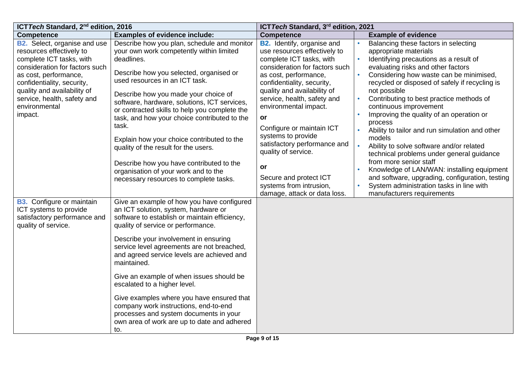| ICT Tech Standard, 2 <sup>nd</sup> edition, 2016                                                                                                                                                                                                                               |                                                                                                                                                                                                                                                                                                                                                                                                                                                                                                                                                                                                          | ICT Tech Standard, 3rd edition, 2021                                                                                                                                                                                                                                                                                                                                                                                                                                   |                                                                                                                                                                                                                                                                                                                                                                                                                                                                                                                                                                                                                                                                                                                     |
|--------------------------------------------------------------------------------------------------------------------------------------------------------------------------------------------------------------------------------------------------------------------------------|----------------------------------------------------------------------------------------------------------------------------------------------------------------------------------------------------------------------------------------------------------------------------------------------------------------------------------------------------------------------------------------------------------------------------------------------------------------------------------------------------------------------------------------------------------------------------------------------------------|------------------------------------------------------------------------------------------------------------------------------------------------------------------------------------------------------------------------------------------------------------------------------------------------------------------------------------------------------------------------------------------------------------------------------------------------------------------------|---------------------------------------------------------------------------------------------------------------------------------------------------------------------------------------------------------------------------------------------------------------------------------------------------------------------------------------------------------------------------------------------------------------------------------------------------------------------------------------------------------------------------------------------------------------------------------------------------------------------------------------------------------------------------------------------------------------------|
| <b>Competence</b>                                                                                                                                                                                                                                                              | <b>Examples of evidence include:</b>                                                                                                                                                                                                                                                                                                                                                                                                                                                                                                                                                                     | <b>Competence</b>                                                                                                                                                                                                                                                                                                                                                                                                                                                      | <b>Example of evidence</b>                                                                                                                                                                                                                                                                                                                                                                                                                                                                                                                                                                                                                                                                                          |
| <b>B2.</b> Select, organise and use<br>resources effectively to<br>complete ICT tasks, with<br>consideration for factors such<br>as cost, performance,<br>confidentiality, security,<br>quality and availability of<br>service, health, safety and<br>environmental<br>impact. | Describe how you plan, schedule and monitor<br>your own work competently within limited<br>deadlines.<br>Describe how you selected, organised or<br>used resources in an ICT task.<br>Describe how you made your choice of<br>software, hardware, solutions, ICT services,<br>or contracted skills to help you complete the<br>task, and how your choice contributed to the<br>task.<br>Explain how your choice contributed to the<br>quality of the result for the users.<br>Describe how you have contributed to the<br>organisation of your work and to the<br>necessary resources to complete tasks. | <b>B2.</b> Identify, organise and<br>use resources effectively to<br>complete ICT tasks, with<br>consideration for factors such<br>as cost, performance,<br>confidentiality, security,<br>quality and availability of<br>service, health, safety and<br>environmental impact.<br><b>or</b><br>Configure or maintain ICT<br>systems to provide<br>satisfactory performance and<br>quality of service.<br><b>or</b><br>Secure and protect ICT<br>systems from intrusion, | Balancing these factors in selecting<br>appropriate materials<br>Identifying precautions as a result of<br>evaluating risks and other factors<br>Considering how waste can be minimised,<br>recycled or disposed of safely if recycling is<br>not possible<br>Contributing to best practice methods of<br>continuous improvement<br>Improving the quality of an operation or<br>process<br>Ability to tailor and run simulation and other<br>models<br>Ability to solve software and/or related<br>technical problems under general guidance<br>from more senior staff<br>Knowledge of LAN/WAN: installing equipment<br>and software, upgrading, configuration, testing<br>System administration tasks in line with |
| <b>B3.</b> Configure or maintain<br>ICT systems to provide<br>satisfactory performance and<br>quality of service.                                                                                                                                                              | Give an example of how you have configured<br>an ICT solution, system, hardware or<br>software to establish or maintain efficiency,<br>quality of service or performance.<br>Describe your involvement in ensuring<br>service level agreements are not breached,<br>and agreed service levels are achieved and<br>maintained.<br>Give an example of when issues should be<br>escalated to a higher level.<br>Give examples where you have ensured that<br>company work instructions, end-to-end<br>processes and system documents in your<br>own area of work are up to date and adhered<br>to.          | damage, attack or data loss.                                                                                                                                                                                                                                                                                                                                                                                                                                           | manufacturers requirements                                                                                                                                                                                                                                                                                                                                                                                                                                                                                                                                                                                                                                                                                          |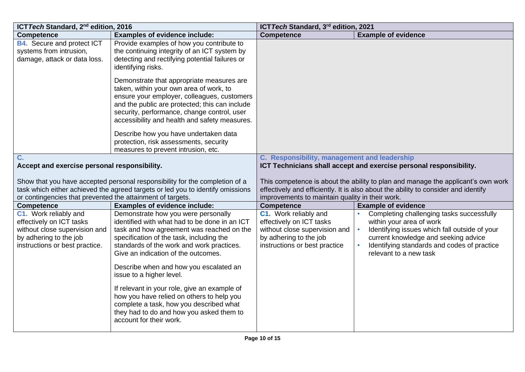| ICT Tech Standard, 2 <sup>nd</sup> edition, 2016                                                                                               |                                                                                                                                                                                                                                                                                                                                                                                                                                                                                                                                                        | ICT Tech Standard, 3rd edition, 2021                                                                                                          |                                                                                                                                                                                                                                         |
|------------------------------------------------------------------------------------------------------------------------------------------------|--------------------------------------------------------------------------------------------------------------------------------------------------------------------------------------------------------------------------------------------------------------------------------------------------------------------------------------------------------------------------------------------------------------------------------------------------------------------------------------------------------------------------------------------------------|-----------------------------------------------------------------------------------------------------------------------------------------------|-----------------------------------------------------------------------------------------------------------------------------------------------------------------------------------------------------------------------------------------|
| <b>Competence</b>                                                                                                                              | <b>Examples of evidence include:</b>                                                                                                                                                                                                                                                                                                                                                                                                                                                                                                                   | <b>Competence</b>                                                                                                                             | <b>Example of evidence</b>                                                                                                                                                                                                              |
| <b>B4.</b> Secure and protect ICT<br>systems from intrusion,<br>damage, attack or data loss.                                                   | Provide examples of how you contribute to<br>the continuing integrity of an ICT system by<br>detecting and rectifying potential failures or<br>identifying risks.                                                                                                                                                                                                                                                                                                                                                                                      |                                                                                                                                               |                                                                                                                                                                                                                                         |
|                                                                                                                                                | Demonstrate that appropriate measures are<br>taken, within your own area of work, to<br>ensure your employer, colleagues, customers<br>and the public are protected; this can include<br>security, performance, change control, user<br>accessibility and health and safety measures.                                                                                                                                                                                                                                                                  |                                                                                                                                               |                                                                                                                                                                                                                                         |
|                                                                                                                                                | Describe how you have undertaken data<br>protection, risk assessments, security<br>measures to prevent intrusion, etc.                                                                                                                                                                                                                                                                                                                                                                                                                                 |                                                                                                                                               |                                                                                                                                                                                                                                         |
| C.                                                                                                                                             |                                                                                                                                                                                                                                                                                                                                                                                                                                                                                                                                                        | C. Responsibility, management and leadership                                                                                                  |                                                                                                                                                                                                                                         |
| Accept and exercise personal responsibility.                                                                                                   |                                                                                                                                                                                                                                                                                                                                                                                                                                                                                                                                                        |                                                                                                                                               | ICT Technicians shall accept and exercise personal responsibility.                                                                                                                                                                      |
| or contingencies that prevented the attainment of targets.                                                                                     | Show that you have accepted personal responsibility for the completion of a<br>task which either achieved the agreed targets or led you to identify omissions                                                                                                                                                                                                                                                                                                                                                                                          | improvements to maintain quality in their work.                                                                                               | This competence is about the ability to plan and manage the applicant's own work<br>effectively and efficiently. It is also about the ability to consider and identify                                                                  |
| <b>Competence</b>                                                                                                                              | <b>Examples of evidence include:</b>                                                                                                                                                                                                                                                                                                                                                                                                                                                                                                                   | <b>Competence</b>                                                                                                                             | <b>Example of evidence</b>                                                                                                                                                                                                              |
| C1. Work reliably and<br>effectively on ICT tasks<br>without close supervision and<br>by adhering to the job<br>instructions or best practice. | Demonstrate how you were personally<br>identified with what had to be done in an ICT<br>task and how agreement was reached on the<br>specification of the task, including the<br>standards of the work and work practices.<br>Give an indication of the outcomes.<br>Describe when and how you escalated an<br>issue to a higher level.<br>If relevant in your role, give an example of<br>how you have relied on others to help you<br>complete a task, how you described what<br>they had to do and how you asked them to<br>account for their work. | C1. Work reliably and<br>effectively on ICT tasks<br>without close supervision and<br>by adhering to the job<br>instructions or best practice | Completing challenging tasks successfully<br>within your area of work<br>Identifying issues which fall outside of your<br>current knowledge and seeking advice<br>Identifying standards and codes of practice<br>relevant to a new task |
|                                                                                                                                                |                                                                                                                                                                                                                                                                                                                                                                                                                                                                                                                                                        |                                                                                                                                               |                                                                                                                                                                                                                                         |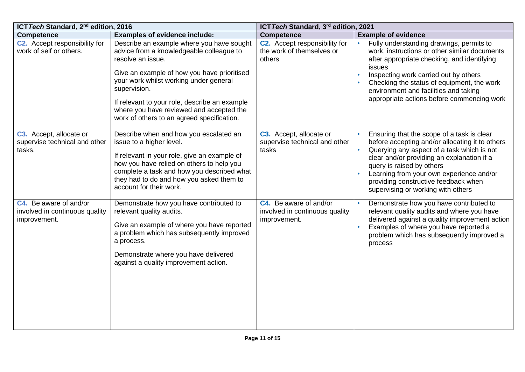| ICT Tech Standard, 2 <sup>nd</sup> edition, 2016                         |                                                                                                                                                                                                                                                                                                                                                                | ICT Tech Standard, 3rd edition, 2021                                     |                                                                                                                                                                                                                                                                                                                                                               |
|--------------------------------------------------------------------------|----------------------------------------------------------------------------------------------------------------------------------------------------------------------------------------------------------------------------------------------------------------------------------------------------------------------------------------------------------------|--------------------------------------------------------------------------|---------------------------------------------------------------------------------------------------------------------------------------------------------------------------------------------------------------------------------------------------------------------------------------------------------------------------------------------------------------|
| <b>Competence</b>                                                        | <b>Examples of evidence include:</b>                                                                                                                                                                                                                                                                                                                           | <b>Competence</b>                                                        | <b>Example of evidence</b>                                                                                                                                                                                                                                                                                                                                    |
| C2. Accept responsibility for<br>work of self or others.                 | Describe an example where you have sought<br>advice from a knowledgeable colleague to<br>resolve an issue.<br>Give an example of how you have prioritised<br>your work whilst working under general<br>supervision.<br>If relevant to your role, describe an example<br>where you have reviewed and accepted the<br>work of others to an agreed specification. | C2. Accept responsibility for<br>the work of themselves or<br>others     | Fully understanding drawings, permits to<br>work, instructions or other similar documents<br>after appropriate checking, and identifying<br>issues<br>Inspecting work carried out by others<br>Checking the status of equipment, the work<br>environment and facilities and taking<br>appropriate actions before commencing work                              |
| C3. Accept, allocate or<br>supervise technical and other<br>tasks.       | Describe when and how you escalated an<br>issue to a higher level.<br>If relevant in your role, give an example of<br>how you have relied on others to help you<br>complete a task and how you described what<br>they had to do and how you asked them to<br>account for their work.                                                                           | C3. Accept, allocate or<br>supervise technical and other<br>tasks        | Ensuring that the scope of a task is clear<br>before accepting and/or allocating it to others<br>Querying any aspect of a task which is not<br>$\bullet$<br>clear and/or providing an explanation if a<br>query is raised by others<br>Learning from your own experience and/or<br>providing constructive feedback when<br>supervising or working with others |
| C4. Be aware of and/or<br>involved in continuous quality<br>improvement. | Demonstrate how you have contributed to<br>relevant quality audits.<br>Give an example of where you have reported<br>a problem which has subsequently improved<br>a process.<br>Demonstrate where you have delivered<br>against a quality improvement action.                                                                                                  | C4. Be aware of and/or<br>involved in continuous quality<br>improvement. | Demonstrate how you have contributed to<br>relevant quality audits and where you have<br>delivered against a quality improvement action<br>Examples of where you have reported a<br>problem which has subsequently improved a<br>process                                                                                                                      |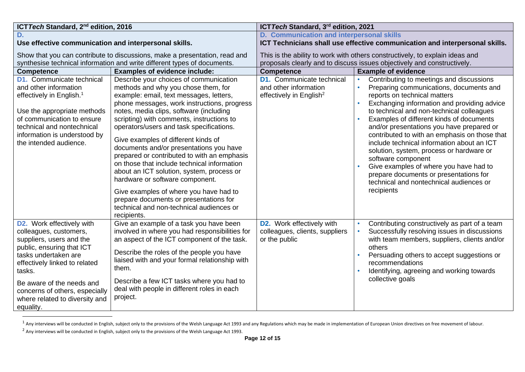| ICT Tech Standard, 2 <sup>nd</sup> edition, 2016                                                                                                                                                                                                                                                     |                                                                                                                                                                                                                                                                                                                                                                                                                                                                                                                                                                                                                                                                                                                            | ICT Tech Standard, 3rd edition, 2021                                                                                                                    |                                                                                                                                                                                                                                                                                                                                                                                                                                                                                                                                                                                                                        |  |
|------------------------------------------------------------------------------------------------------------------------------------------------------------------------------------------------------------------------------------------------------------------------------------------------------|----------------------------------------------------------------------------------------------------------------------------------------------------------------------------------------------------------------------------------------------------------------------------------------------------------------------------------------------------------------------------------------------------------------------------------------------------------------------------------------------------------------------------------------------------------------------------------------------------------------------------------------------------------------------------------------------------------------------------|---------------------------------------------------------------------------------------------------------------------------------------------------------|------------------------------------------------------------------------------------------------------------------------------------------------------------------------------------------------------------------------------------------------------------------------------------------------------------------------------------------------------------------------------------------------------------------------------------------------------------------------------------------------------------------------------------------------------------------------------------------------------------------------|--|
| D.                                                                                                                                                                                                                                                                                                   |                                                                                                                                                                                                                                                                                                                                                                                                                                                                                                                                                                                                                                                                                                                            | D. Communication and interpersonal skills                                                                                                               |                                                                                                                                                                                                                                                                                                                                                                                                                                                                                                                                                                                                                        |  |
| Use effective communication and interpersonal skills.                                                                                                                                                                                                                                                |                                                                                                                                                                                                                                                                                                                                                                                                                                                                                                                                                                                                                                                                                                                            | ICT Technicians shall use effective communication and interpersonal skills.                                                                             |                                                                                                                                                                                                                                                                                                                                                                                                                                                                                                                                                                                                                        |  |
|                                                                                                                                                                                                                                                                                                      | Show that you can contribute to discussions, make a presentation, read and<br>synthesise technical information and write different types of documents.                                                                                                                                                                                                                                                                                                                                                                                                                                                                                                                                                                     | This is the ability to work with others constructively, to explain ideas and<br>proposals clearly and to discuss issues objectively and constructively. |                                                                                                                                                                                                                                                                                                                                                                                                                                                                                                                                                                                                                        |  |
| <b>Competence</b>                                                                                                                                                                                                                                                                                    | <b>Examples of evidence include:</b>                                                                                                                                                                                                                                                                                                                                                                                                                                                                                                                                                                                                                                                                                       | <b>Competence</b>                                                                                                                                       | <b>Example of evidence</b>                                                                                                                                                                                                                                                                                                                                                                                                                                                                                                                                                                                             |  |
| <b>D1.</b> Communicate technical<br>and other information<br>effectively in English. <sup>1</sup><br>Use the appropriate methods<br>of communication to ensure<br>technical and nontechnical<br>information is understood by<br>the intended audience.                                               | Describe your choices of communication<br>methods and why you chose them, for<br>example: email, text messages, letters,<br>phone messages, work instructions, progress<br>notes, media clips, software (including<br>scripting) with comments, instructions to<br>operators/users and task specifications.<br>Give examples of different kinds of<br>documents and/or presentations you have<br>prepared or contributed to with an emphasis<br>on those that include technical information<br>about an ICT solution, system, process or<br>hardware or software component.<br>Give examples of where you have had to<br>prepare documents or presentations for<br>technical and non-technical audiences or<br>recipients. | <b>D1.</b> Communicate technical<br>and other information<br>effectively in English <sup>2</sup>                                                        | Contributing to meetings and discussions<br>Preparing communications, documents and<br>reports on technical matters<br>Exchanging information and providing advice<br>to technical and non-technical colleagues<br>Examples of different kinds of documents<br>and/or presentations you have prepared or<br>contributed to with an emphasis on those that<br>include technical information about an ICT<br>solution, system, process or hardware or<br>software component<br>Give examples of where you have had to<br>prepare documents or presentations for<br>technical and nontechnical audiences or<br>recipients |  |
| <b>D2.</b> Work effectively with<br>colleagues, customers,<br>suppliers, users and the<br>public, ensuring that ICT<br>tasks undertaken are<br>effectively linked to related<br>tasks.<br>Be aware of the needs and<br>concerns of others, especially<br>where related to diversity and<br>equality. | Give an example of a task you have been<br>involved in where you had responsibilities for<br>an aspect of the ICT component of the task.<br>Describe the roles of the people you have<br>liaised with and your formal relationship with<br>them.<br>Describe a few ICT tasks where you had to<br>deal with people in different roles in each<br>project.                                                                                                                                                                                                                                                                                                                                                                   | <b>D2.</b> Work effectively with<br>colleagues, clients, suppliers<br>or the public                                                                     | Contributing constructively as part of a team<br>Successfully resolving issues in discussions<br>with team members, suppliers, clients and/or<br>others<br>Persuading others to accept suggestions or<br>recommendations<br>Identifying, agreeing and working towards<br>collective goals                                                                                                                                                                                                                                                                                                                              |  |

 $1$  Any interviews will be conducted in English, subject only to the provisions of the Welsh Language Act 1993 and any Regulations which may be made in implementation of European Union directives on free movement of labou

<sup>&</sup>lt;sup>2</sup> Any interviews will be conducted in English, subject only to the provisions of the Welsh Language Act 1993.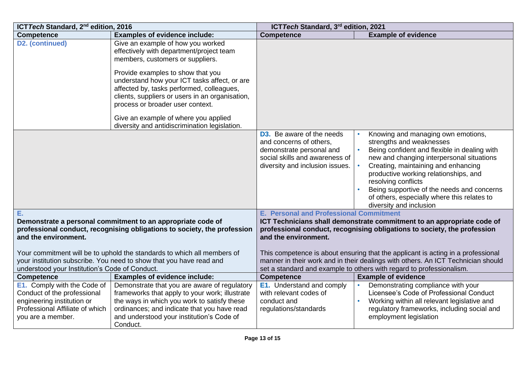| ICT Tech Standard, 2 <sup>nd</sup> edition, 2016                                                                                                                |                                                                                                                                                                                                                                                                                                                                                                                                                                     | ICT Tech Standard, 3rd edition, 2021                                                                                                                         |                                                                                                                                                                                                                                                                                                                                                                                            |  |
|-----------------------------------------------------------------------------------------------------------------------------------------------------------------|-------------------------------------------------------------------------------------------------------------------------------------------------------------------------------------------------------------------------------------------------------------------------------------------------------------------------------------------------------------------------------------------------------------------------------------|--------------------------------------------------------------------------------------------------------------------------------------------------------------|--------------------------------------------------------------------------------------------------------------------------------------------------------------------------------------------------------------------------------------------------------------------------------------------------------------------------------------------------------------------------------------------|--|
| <b>Competence</b>                                                                                                                                               | <b>Examples of evidence include:</b>                                                                                                                                                                                                                                                                                                                                                                                                | <b>Competence</b>                                                                                                                                            | <b>Example of evidence</b>                                                                                                                                                                                                                                                                                                                                                                 |  |
| D2. (continued)                                                                                                                                                 | Give an example of how you worked<br>effectively with department/project team<br>members, customers or suppliers.<br>Provide examples to show that you<br>understand how your ICT tasks affect, or are<br>affected by, tasks performed, colleagues,<br>clients, suppliers or users in an organisation,<br>process or broader user context.<br>Give an example of where you applied<br>diversity and antidiscrimination legislation. |                                                                                                                                                              |                                                                                                                                                                                                                                                                                                                                                                                            |  |
|                                                                                                                                                                 |                                                                                                                                                                                                                                                                                                                                                                                                                                     | <b>D3.</b> Be aware of the needs<br>and concerns of others,<br>demonstrate personal and<br>social skills and awareness of<br>diversity and inclusion issues. | Knowing and managing own emotions,<br>strengths and weaknesses<br>Being confident and flexible in dealing with<br>new and changing interpersonal situations<br>Creating, maintaining and enhancing<br>productive working relationships, and<br>resolving conflicts<br>Being supportive of the needs and concerns<br>of others, especially where this relates to<br>diversity and inclusion |  |
| Е.                                                                                                                                                              |                                                                                                                                                                                                                                                                                                                                                                                                                                     | <b>E. Personal and Professional Commitment</b>                                                                                                               |                                                                                                                                                                                                                                                                                                                                                                                            |  |
| Demonstrate a personal commitment to an appropriate code of<br>professional conduct, recognising obligations to society, the profession<br>and the environment. |                                                                                                                                                                                                                                                                                                                                                                                                                                     | and the environment.                                                                                                                                         | ICT Technicians shall demonstrate commitment to an appropriate code of<br>professional conduct, recognising obligations to society, the profession                                                                                                                                                                                                                                         |  |
|                                                                                                                                                                 | Your commitment will be to uphold the standards to which all members of                                                                                                                                                                                                                                                                                                                                                             |                                                                                                                                                              | This competence is about ensuring that the applicant is acting in a professional                                                                                                                                                                                                                                                                                                           |  |
| your institution subscribe. You need to show that you have read and                                                                                             |                                                                                                                                                                                                                                                                                                                                                                                                                                     |                                                                                                                                                              | manner in their work and in their dealings with others. An ICT Technician should                                                                                                                                                                                                                                                                                                           |  |
| understood your Institution's Code of Conduct.                                                                                                                  |                                                                                                                                                                                                                                                                                                                                                                                                                                     |                                                                                                                                                              | set a standard and example to others with regard to professionalism.                                                                                                                                                                                                                                                                                                                       |  |
| <b>Competence</b>                                                                                                                                               | <b>Examples of evidence include:</b>                                                                                                                                                                                                                                                                                                                                                                                                | <b>Competence</b>                                                                                                                                            | <b>Example of evidence</b>                                                                                                                                                                                                                                                                                                                                                                 |  |
| <b>E1.</b> Comply with the Code of<br>Conduct of the professional<br>engineering institution or<br>Professional Affiliate of which<br>you are a member.         | Demonstrate that you are aware of regulatory<br>frameworks that apply to your work; illustrate<br>the ways in which you work to satisfy these<br>ordinances; and indicate that you have read<br>and understood your institution's Code of<br>Conduct.                                                                                                                                                                               | <b>E1.</b> Understand and comply<br>with relevant codes of<br>conduct and<br>regulations/standards                                                           | Demonstrating compliance with your<br>Licensee's Code of Professional Conduct<br>Working within all relevant legislative and<br>regulatory frameworks, including social and<br>employment legislation                                                                                                                                                                                      |  |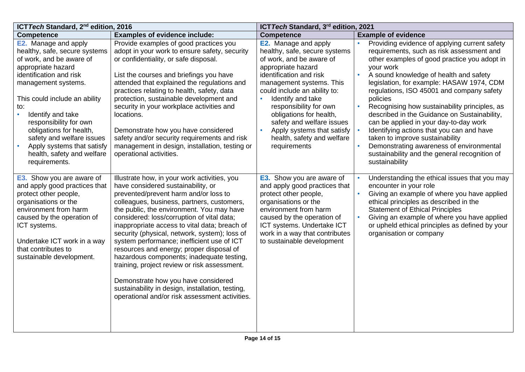| ICT Tech Standard, 2 <sup>nd</sup> edition, 2016                                                                                                                                                                                                                                                                                                                                             |                                                                                                                                                                                                                                                                                                                                                                                                                                                                                                                                                                                                                                                                                                            | ICT Tech Standard, 3rd edition, 2021                                                                                                                                                                                                                                                                                                                                                                  |                                                                                                                                                                                                                                                                                                                                                                                                                                                                                                                                                                                                                                                   |
|----------------------------------------------------------------------------------------------------------------------------------------------------------------------------------------------------------------------------------------------------------------------------------------------------------------------------------------------------------------------------------------------|------------------------------------------------------------------------------------------------------------------------------------------------------------------------------------------------------------------------------------------------------------------------------------------------------------------------------------------------------------------------------------------------------------------------------------------------------------------------------------------------------------------------------------------------------------------------------------------------------------------------------------------------------------------------------------------------------------|-------------------------------------------------------------------------------------------------------------------------------------------------------------------------------------------------------------------------------------------------------------------------------------------------------------------------------------------------------------------------------------------------------|---------------------------------------------------------------------------------------------------------------------------------------------------------------------------------------------------------------------------------------------------------------------------------------------------------------------------------------------------------------------------------------------------------------------------------------------------------------------------------------------------------------------------------------------------------------------------------------------------------------------------------------------------|
| <b>Competence</b>                                                                                                                                                                                                                                                                                                                                                                            | <b>Examples of evidence include:</b>                                                                                                                                                                                                                                                                                                                                                                                                                                                                                                                                                                                                                                                                       | <b>Competence</b>                                                                                                                                                                                                                                                                                                                                                                                     | <b>Example of evidence</b>                                                                                                                                                                                                                                                                                                                                                                                                                                                                                                                                                                                                                        |
| <b>E2.</b> Manage and apply<br>healthy, safe, secure systems<br>of work, and be aware of<br>appropriate hazard<br>identification and risk<br>management systems.<br>This could include an ability<br>to:<br>Identify and take<br>responsibility for own<br>obligations for health,<br>safety and welfare issues<br>Apply systems that satisfy<br>health, safety and welfare<br>requirements. | Provide examples of good practices you<br>adopt in your work to ensure safety, security<br>or confidentiality, or safe disposal.<br>List the courses and briefings you have<br>attended that explained the regulations and<br>practices relating to health, safety, data<br>protection, sustainable development and<br>security in your workplace activities and<br>locations.<br>Demonstrate how you have considered<br>safety and/or security requirements and risk<br>management in design, installation, testing or<br>operational activities.                                                                                                                                                         | <b>E2.</b> Manage and apply<br>healthy, safe, secure systems<br>of work, and be aware of<br>appropriate hazard<br>identification and risk<br>management systems. This<br>could include an ability to:<br>$\bullet$<br>Identify and take<br>responsibility for own<br>obligations for health,<br>safety and welfare issues<br>Apply systems that satisfy<br>health, safety and welfare<br>requirements | Providing evidence of applying current safety<br>requirements, such as risk assessment and<br>other examples of good practice you adopt in<br>your work<br>A sound knowledge of health and safety<br>legislation, for example: HASAW 1974, CDM<br>regulations, ISO 45001 and company safety<br>policies<br>Recognising how sustainability principles, as<br>described in the Guidance on Sustainability,<br>can be applied in your day-to-day work<br>Identifying actions that you can and have<br>taken to improve sustainability<br>Demonstrating awareness of environmental<br>sustainability and the general recognition of<br>sustainability |
| <b>E3.</b> Show you are aware of<br>and apply good practices that<br>protect other people,<br>organisations or the<br>environment from harm<br>caused by the operation of<br>ICT systems.<br>Undertake ICT work in a way<br>that contributes to<br>sustainable development.                                                                                                                  | Illustrate how, in your work activities, you<br>have considered sustainability, or<br>prevented/prevent harm and/or loss to<br>colleagues, business, partners, customers,<br>the public, the environment. You may have<br>considered: loss/corruption of vital data;<br>inappropriate access to vital data; breach of<br>security (physical, network, system); loss of<br>system performance; inefficient use of ICT<br>resources and energy; proper disposal of<br>hazardous components; inadequate testing,<br>training, project review or risk assessment.<br>Demonstrate how you have considered<br>sustainability in design, installation, testing,<br>operational and/or risk assessment activities. | <b>E3.</b> Show you are aware of<br>and apply good practices that<br>protect other people,<br>organisations or the<br>environment from harm<br>caused by the operation of<br>ICT systems. Undertake ICT<br>work in a way that contributes<br>to sustainable development                                                                                                                               | Understanding the ethical issues that you may<br>encounter in your role<br>Giving an example of where you have applied<br>ethical principles as described in the<br><b>Statement of Ethical Principles</b><br>Giving an example of where you have applied<br>or upheld ethical principles as defined by your<br>organisation or company                                                                                                                                                                                                                                                                                                           |